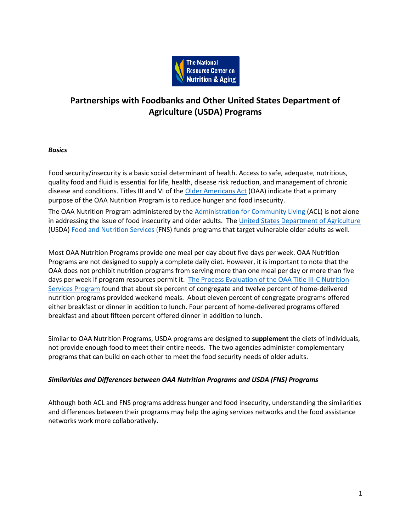

# **Partnerships with Foodbanks and Other United States Department of Agriculture (USDA) Programs**

# *Basics*

Food security/insecurity is a basic social determinant of health. Access to safe, adequate, nutritious, quality food and fluid is essential for life, health, disease risk reduction, and management of chronic disease and conditions. Titles III and VI of the [Older Americans Act](https://acl.gov/sites/default/files/about-acl/2020-04/Older%20Americans%20Act%20Of%201965%20as%20amended%20by%20Public%20Law%20116-131%20on%203-25-2020.pdf) (OAA) indicate that a primary purpose of the OAA Nutrition Program is to reduce hunger and food insecurity.

The OAA Nutrition Program administered by the [Administration for Community Living](https://acl.gov/) (ACL) is not alone in addressing the issue of food insecurity and older adults. The [United States Department of Agriculture](https://www.usda.gov/) (USDA[\) Food and Nutrition Services \(F](https://www.fns.usda.gov/)NS) funds programs that target vulnerable older adults as well.

Most OAA Nutrition Programs provide one meal per day about five days per week. OAA Nutrition Programs are not designed to supply a complete daily diet. However, it is important to note that the OAA does not prohibit nutrition programs from serving more than one meal per day or more than five days per week if program resources permit it. [The Process Evaluation of the OAA Title III-C Nutrition](https://acl.gov/sites/default/files/programs/2017-02/NSP-Process-Evaluation-Report.pdf)  [Services Program](https://acl.gov/sites/default/files/programs/2017-02/NSP-Process-Evaluation-Report.pdf) found that about six percent of congregate and twelve percent of home-delivered nutrition programs provided weekend meals. About eleven percent of congregate programs offered either breakfast or dinner in addition to lunch. Four percent of home-delivered programs offered breakfast and about fifteen percent offered dinner in addition to lunch.

Similar to OAA Nutrition Programs, USDA programs are designed to **supplement** the diets of individuals, not provide enough food to meet their entire needs. The two agencies administer complementary programs that can build on each other to meet the food security needs of older adults.

# *Similarities and Differences between OAA Nutrition Programs and USDA (FNS) Programs*

Although both ACL and FNS programs address hunger and food insecurity, understanding the similarities and differences between their programs may help the aging services networks and the food assistance networks work more collaboratively.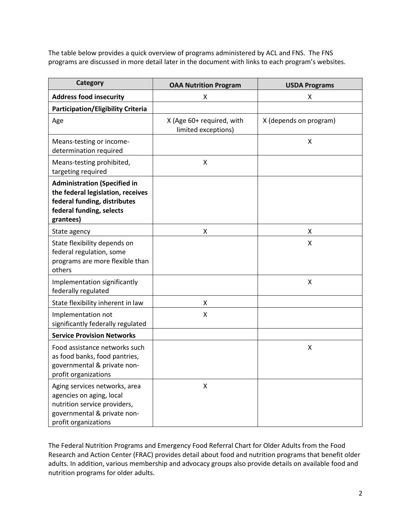The table below provides a quick overview of programs administered by ACL and FNS. The FNS programs are discussed in more detail later in the document with links to each program's websites.

| <b>Category</b>                                                                                                                                   | <b>OAA Nutrition Program</b>                     | <b>USDA Programs</b>   |
|---------------------------------------------------------------------------------------------------------------------------------------------------|--------------------------------------------------|------------------------|
| <b>Address food insecurity</b>                                                                                                                    | X                                                | Χ                      |
| <b>Participation/Eligibility Criteria</b>                                                                                                         |                                                  |                        |
| Age                                                                                                                                               | X (Age 60+ required, with<br>limited exceptions) | X (depends on program) |
| Means-testing or income-<br>determination required                                                                                                |                                                  | X                      |
| Means-testing prohibited,<br>targeting required                                                                                                   | X                                                |                        |
| <b>Administration (Specified in</b><br>the federal legislation, receives<br>federal funding, distributes<br>federal funding, selects<br>grantees) |                                                  |                        |
| State agency                                                                                                                                      | х                                                | x                      |
| State flexibility depends on<br>federal regulation, some<br>programs are more flexible than<br>others                                             |                                                  | X                      |
| Implementation significantly<br>federally regulated                                                                                               |                                                  | $\pmb{\mathsf{X}}$     |
| State flexibility inherent in law                                                                                                                 | Χ                                                |                        |
| Implementation not<br>significantly federally regulated                                                                                           | $\pmb{\mathsf{X}}$                               |                        |
| <b>Service Provision Networks</b>                                                                                                                 |                                                  |                        |
| Food assistance networks such<br>as food banks, food pantries,<br>governmental & private non-<br>profit organizations                             |                                                  | Χ                      |
| Aging services networks, area<br>agencies on aging, local<br>nutrition service providers,<br>governmental & private non-<br>profit organizations  | $\pmb{\mathsf{X}}$                               |                        |

The Federal Nutrition Programs and Emergency Food Referral Chart for Older Adults from the Food Research and Action Center (FRAC) provides detail about food and nutrition programs that benefit older adults. In addition, various membership and advocacy groups also provide details on available food and nutrition programs for older adults.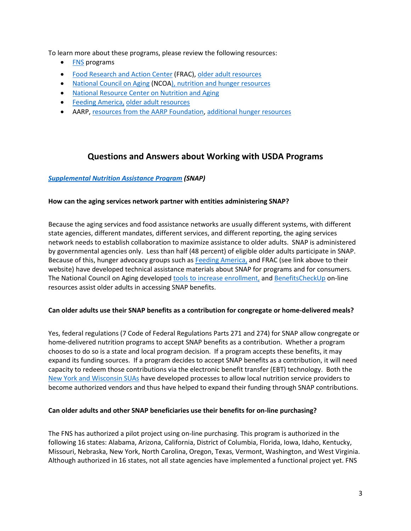To learn more about these programs, please review the following resources:

- **[FNS](https://www.fns.usda.gov/)** programs
- [Food Research and Action Center](https://frac.org/) (FRAC)[, older adult resources](https://frac.org/research/resource-library?type=resource&search=Older+adults)
- [National Council on Aging](https://www.ncoa.org/) (NCO[A\), nutrition and hunger resources](https://www.ncoa.org/healthy-aging/hunger-and-nutrition/)
- [National Resource Center on Nutrition and Aging](https://nutritionandaging.org/)
- [Feeding America,](https://www.feedingamerica.org/) [older adult resources](https://www.feedingamerica.org/research/senior-hunger-research)
- AARP[, resources from the AARP Foundation,](https://search.aarp.org/gss/everywhere?q=food%20insecurity&intcmp=DSO-SRCH-EWHERE) [additional hunger resources](https://endseniorhunger.aarp.org/?migration=rdrct)

# **Questions and Answers about Working with USDA Programs**

# *[Supplemental Nutrition Assistance Program](https://www.fns.usda.gov/snap/supplemental-nutrition-assistance-program) (SNAP)*

# **How can the aging services network partner with entities administering SNAP?**

Because the aging services and food assistance networks are usually different systems, with different state agencies, different mandates, different services, and different reporting, the aging services network needs to establish collaboration to maximize assistance to older adults. SNAP is administered by governmental agencies only. Less than half (48 percent) of eligible older adults participate in SNAP. Because of this, hunger advocacy groups such as [Feeding America,](https://www.feedingamerica.org/) and FRAC (see link above to their website) have developed technical assistance materials about SNAP for programs and for consumers. The National Council on Aging developed [tools to increase enrollment,](https://www.ncoa.org/economic-security/benefits/food-and-nutrition/senior-hunger-snap/) an[d BenefitsCheckUp](https://www.benefitscheckup.org/?_ga=2.207778324.767966897.1588101283-1444833802.1531914498) on-line resources assist older adults in accessing SNAP benefits.

# **Can older adults use their SNAP benefits as a contribution for congregate or home-delivered meals?**

Yes, federal regulations (7 Code of Federal Regulations Parts 271 and 274) for SNAP allow congregate or home-delivered nutrition programs to accept SNAP benefits as a contribution. Whether a program chooses to do so is a state and local program decision. If a program accepts these benefits, it may expand its funding sources. If a program decides to accept SNAP benefits as a contribution, it will need capacity to redeem those contributions via the electronic benefit transfer (EBT) technology. Both the [New York and Wisconsin SUAs](https://nutritionandaging.org/wp-content/uploads/2016/01/SUA-Discussion-Webinar-SNAP-and-Title-III-Nutrition-Programs-LINK.pdf) have developed processes to allow local nutrition service providers to become authorized vendors and thus have helped to expand their funding through SNAP contributions.

# **Can older adults and other SNAP beneficiaries use their benefits for on-line purchasing?**

The FNS has authorized a pilot project using on-line purchasing. This program is authorized in the following 16 states: Alabama, Arizona, California, District of Columbia, Florida, Iowa, Idaho, Kentucky, Missouri, Nebraska, New York, North Carolina, Oregon, Texas, Vermont, Washington, and West Virginia. Although authorized in 16 states, not all state agencies have implemented a functional project yet. FNS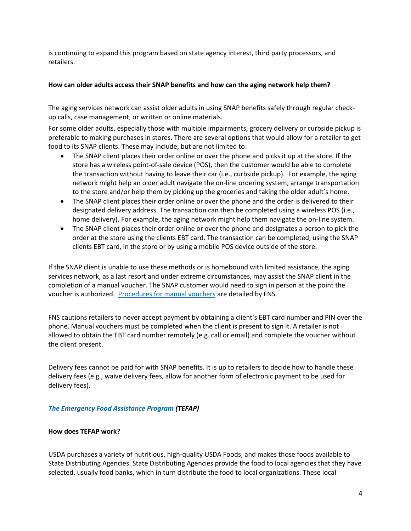is continuing to expand this program based on state agency interest, third party processors, and retailers.

# **How can older adults access their SNAP benefits and how can the aging network help them?**

The aging services network can assist older adults in using SNAP benefits safely through regular checkup calls, case management, or written or online materials.

For some older adults, especially those with multiple impairments, grocery delivery or curbside pickup is preferable to making purchases in stores. There are several options that would allow for a retailer to get food to its SNAP clients. These may include, but are not limited to:

- The SNAP client places their order online or over the phone and picks it up at the store. If the store has a wireless point-of-sale device (POS), then the customer would be able to complete the transaction without having to leave their car (i.e., curbside pickup). For example, the aging network might help an older adult navigate the on-line ordering system, arrange transportation to the store and/or help them by picking up the groceries and taking the older adult's home.
- The SNAP client places their order online or over the phone and the order is delivered to their designated delivery address. The transaction can then be completed using a wireless POS (i.e., home delivery). For example, the aging network might help them navigate the on-line system.
- The SNAP client places their order online or over the phone and designates a person to pick the order at the store using the clients EBT card. The transaction can be completed, using the SNAP clients EBT card, in the store or by using a mobile POS device outside of the store.

If the SNAP client is unable to use these methods or is homebound with limited assistance, the aging services network, as a last resort and under extreme circumstances, may assist the SNAP client in the completion of a manual voucher. The SNAP customer would need to sign in person at the point the voucher is authorized. [Procedures for manual vouchers](https://fns-prod.azureedge.net/sites/default/files/snap/Manual-Voucher-Process.pdf) are detailed by FNS.

FNS cautions retailers to never accept payment by obtaining a client's EBT card number and PIN over the phone. Manual vouchers must be completed when the client is present to sign it. A retailer is not allowed to obtain the EBT card number remotely (e.g. call or email) and complete the voucher without the client present.

Delivery fees cannot be paid for with SNAP benefits. It is up to retailers to decide how to handle these delivery fees (e.g., waive delivery fees, allow for another form of electronic payment to be used for delivery fees).

# *[The Emergency Food Assistance Program](https://www.fns.usda.gov/tefap/emergency-food-assistance-program) (TEFAP)*

# **How does TEFAP work?**

USDA purchases a variety of nutritious, high-quality USDA Foods, and makes those foods available to State Distributing Agencies. State Distributing Agencies provide the food to local agencies that they have selected, usually food banks, which in turn distribute the food to local organizations. These local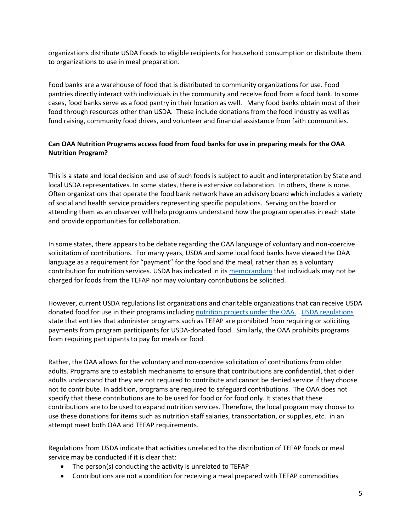organizations distribute USDA Foods to eligible recipients for household consumption or distribute them to organizations to use in meal preparation.

Food banks are a warehouse of food that is distributed to community organizations for use. Food pantries directly interact with individuals in the community and receive food from a food bank. In some cases, food banks serve as a food pantry in their location as well. Many food banks obtain most of their food through resources other than USDA. These include donations from the food industry as well as fund raising, community food drives, and volunteer and financial assistance from faith communities.

# **Can OAA Nutrition Programs access food from food banks for use in preparing meals for the OAA Nutrition Program?**

This is a state and local decision and use of such foods is subject to audit and interpretation by State and local USDA representatives. In some states, there is extensive collaboration. In others, there is none. Often organizations that operate the food bank network have an advisory board which includes a variety of social and health service providers representing specific populations. Serving on the board or attending them as an observer will help programs understand how the program operates in each state and provide opportunities for collaboration.

In some states, there appears to be debate regarding the OAA language of voluntary and non-coercive solicitation of contributions. For many years, USDA and some local food banks have viewed the OAA language as a requirement for "payment" for the food and the meal, rather than as a voluntary contribution for nutrition services. USDA has indicated in it[s memorandum](https://www.fns.usda.gov/usda-foods/allowability-of-participant-payments-and-contributions-foods-donated) that individuals may not be charged for foods from the TEFAP nor may voluntary contributions be solicited.

However, current USDA regulations list organizations and charitable organizations that can receive USDA donated food for use in their programs includin[g nutrition projects under the OAA.](https://www.ecfr.gov/cgi-bin/text-idx?SID=dd7b4e35e4c709b8924aea60bfe27e88&mc=true&node=pt7.4.251&rgn=div5#se7.4.251_13) [USDA regulations](https://fns-prod.azureedge.net/sites/default/files/pmfd097_CSFP_FDPIR_TEFAP_SNAP-AllowabilityofPayments.pdf) state that entities that administer programs such as TEFAP are prohibited from requiring or soliciting payments from program participants for USDA-donated food. Similarly, the OAA prohibits programs from requiring participants to pay for meals or food.

Rather, the OAA allows for the voluntary and non-coercive solicitation of contributions from older adults. Programs are to establish mechanisms to ensure that contributions are confidential, that older adults understand that they are not required to contribute and cannot be denied service if they choose not to contribute. In addition, programs are required to safeguard contributions. The OAA does not specify that these contributions are to be used for food or for food only. It states that these contributions are to be used to expand nutrition services. Therefore, the local program may choose to use these donations for items such as nutrition staff salaries, transportation, or supplies, etc. in an attempt meet both OAA and TEFAP requirements.

Regulations from USDA indicate that activities unrelated to the distribution of TEFAP foods or meal service may be conducted if it is clear that:

- The person(s) conducting the activity is unrelated to TEFAP
- Contributions are not a condition for receiving a meal prepared with TEFAP commodities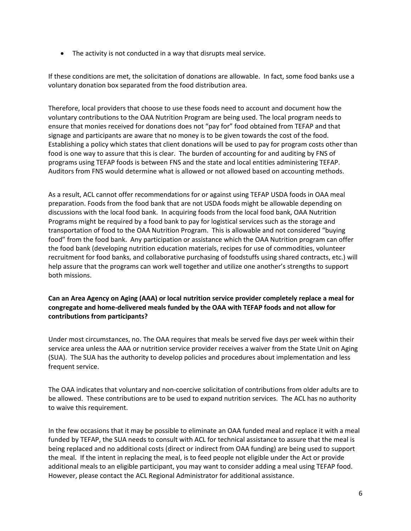• The activity is not conducted in a way that disrupts meal service.

If these conditions are met, the solicitation of donations are allowable. In fact, some food banks use a voluntary donation box separated from the food distribution area.

Therefore, local providers that choose to use these foods need to account and document how the voluntary contributions to the OAA Nutrition Program are being used. The local program needs to ensure that monies received for donations does not "pay for" food obtained from TEFAP and that signage and participants are aware that no money is to be given towards the cost of the food. Establishing a policy which states that client donations will be used to pay for program costs other than food is one way to assure that this is clear. The burden of accounting for and auditing by FNS of programs using TEFAP foods is between FNS and the state and local entities administering TEFAP. Auditors from FNS would determine what is allowed or not allowed based on accounting methods.

As a result, ACL cannot offer recommendations for or against using TEFAP USDA foods in OAA meal preparation. Foods from the food bank that are not USDA foods might be allowable depending on discussions with the local food bank. In acquiring foods from the local food bank, OAA Nutrition Programs might be required by a food bank to pay for logistical services such as the storage and transportation of food to the OAA Nutrition Program. This is allowable and not considered "buying food" from the food bank. Any participation or assistance which the OAA Nutrition program can offer the food bank (developing nutrition education materials, recipes for use of commodities, volunteer recruitment for food banks, and collaborative purchasing of foodstuffs using shared contracts, etc.) will help assure that the programs can work well together and utilize one another's strengths to support both missions.

# **Can an Area Agency on Aging (AAA) or local nutrition service provider completely replace a meal for congregate and home-delivered meals funded by the OAA with TEFAP foods and not allow for contributions from participants?**

Under most circumstances, no. The OAA requires that meals be served five days per week within their service area unless the AAA or nutrition service provider receives a waiver from the State Unit on Aging (SUA). The SUA has the authority to develop policies and procedures about implementation and less frequent service.

The OAA indicates that voluntary and non-coercive solicitation of contributions from older adults are to be allowed. These contributions are to be used to expand nutrition services. The ACL has no authority to waive this requirement.

In the few occasions that it may be possible to eliminate an OAA funded meal and replace it with a meal funded by TEFAP, the SUA needs to consult with ACL for technical assistance to assure that the meal is being replaced and no additional costs (direct or indirect from OAA funding) are being used to support the meal. If the intent in replacing the meal, is to feed people not eligible under the Act or provide additional meals to an eligible participant, you may want to consider adding a meal using TEFAP food. However, please contact the ACL Regional Administrator for additional assistance.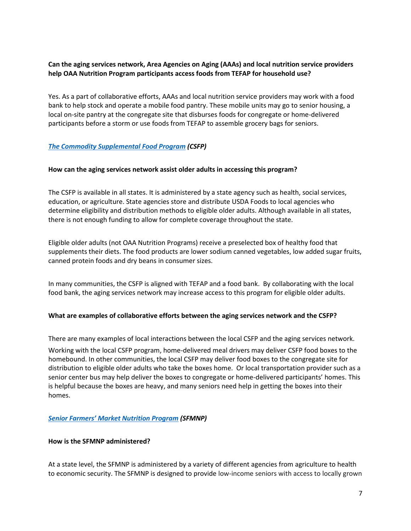# **Can the aging services network, Area Agencies on Aging (AAAs) and local nutrition service providers help OAA Nutrition Program participants access foods from TEFAP for household use?**

Yes. As a part of collaborative efforts, AAAs and local nutrition service providers may work with a food bank to help stock and operate a mobile food pantry. These mobile units may go to senior housing, a local on-site pantry at the congregate site that disburses foods for congregate or home-delivered participants before a storm or use foods from TEFAP to assemble grocery bags for seniors.

# *[The Commodity Supplemental Food Program](https://www.fns.usda.gov/csfp/commodity-supplemental-food-program) (CSFP)*

# **How can the aging services network assist older adults in accessing this program?**

The CSFP is available in all states. It is administered by a state agency such as health, social services, education, or agriculture. State agencies store and distribute USDA Foods to local agencies who determine eligibility and distribution methods to eligible older adults. Although available in all states, there is not enough funding to allow for complete coverage throughout the state.

Eligible older adults (not OAA Nutrition Programs) receive a preselected box of healthy food that supplements their diets. The food products are lower sodium canned vegetables, low added sugar fruits, canned protein foods and dry beans in consumer sizes.

In many communities, the CSFP is aligned with TEFAP and a food bank. By collaborating with the local food bank, the aging services network may increase access to this program for eligible older adults.

# **What are examples of collaborative efforts between the aging services network and the CSFP?**

There are many examples of local interactions between the local CSFP and the aging services network.

Working with the local CSFP program, home-delivered meal drivers may deliver CSFP food boxes to the homebound. In other communities, the local CSFP may deliver food boxes to the congregate site for distribution to eligible older adults who take the boxes home. Or local transportation provider such as a senior center bus may help deliver the boxes to congregate or home-delivered participants' homes. This is helpful because the boxes are heavy, and many seniors need help in getting the boxes into their homes.

# *[Senior Farmers' Market Nutrition Program](https://www.fns.usda.gov/sfmnp/senior-farmers-market-nutrition-program) (SFMNP)*

#### **How is the SFMNP administered?**

At a state level, the SFMNP is administered by a variety of different agencies from agriculture to health to economic security. The SFMNP is designed to provide low-income seniors with access to locally grown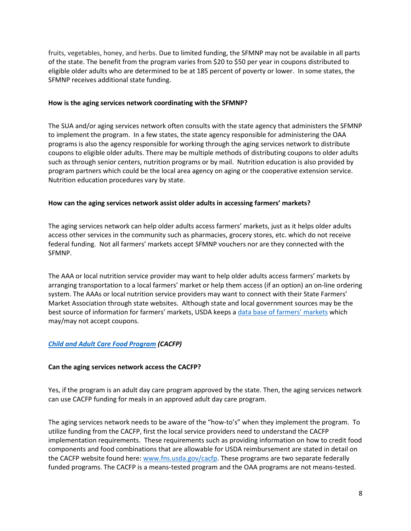fruits, vegetables, honey, and herbs. Due to limited funding, the SFMNP may not be available in all parts of the state. The benefit from the program varies from \$20 to \$50 per year in coupons distributed to eligible older adults who are determined to be at 185 percent of poverty or lower. In some states, the SFMNP receives additional state funding.

#### **How is the aging services network coordinating with the SFMNP?**

The SUA and/or aging services network often consults with the state agency that administers the SFMNP to implement the program. In a few states, the state agency responsible for administering the OAA programs is also the agency responsible for working through the aging services network to distribute coupons to eligible older adults. There may be multiple methods of distributing coupons to older adults such as through senior centers, nutrition programs or by mail. Nutrition education is also provided by program partners which could be the local area agency on aging or the cooperative extension service. Nutrition education procedures vary by state.

# **How can the aging services network assist older adults in accessing farmers' markets?**

The aging services network can help older adults access farmers' markets, just as it helps older adults access other services in the community such as pharmacies, grocery stores, etc. which do not receive federal funding. Not all farmers' markets accept SFMNP vouchers nor are they connected with the SFMNP.

The AAA or local nutrition service provider may want to help older adults access farmers' markets by arranging transportation to a local farmers' market or help them access (if an option) an on-line ordering system. The AAAs or local nutrition service providers may want to connect with their State Farmers' Market Association through state websites. Although state and local government sources may be the best source of information for farmers' markets, USDA keeps a *data base of farmers' markets* which may/may not accept coupons.

# *[Child and Adult Care Food Program](https://www.fns.usda.gov/cacfp) (CACFP)*

# **Can the aging services network access the CACFP?**

Yes, if the program is an adult day care program approved by the state. Then, the aging services network can use CACFP funding for meals in an approved adult day care program.

The aging services network needs to be aware of the "how-to's" when they implement the program. To utilize funding from the CACFP, first the local service providers need to understand the CACFP implementation requirements. These requirements such as providing information on how to credit food components and food combinations that are allowable for USDA reimbursement are stated in detail on the CACFP website found here: [www.fns.usda.gov/cacfp.](http://www.fns.usda.gov/cacfp) These programs are two separate federally funded programs. The CACFP is a means-tested program and the OAA programs are not means-tested.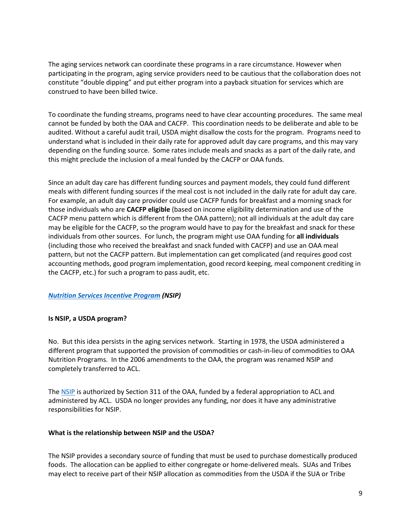The aging services network can coordinate these programs in a rare circumstance. However when participating in the program, aging service providers need to be cautious that the collaboration does not constitute "double dipping" and put either program into a payback situation for services which are construed to have been billed twice.

To coordinate the funding streams, programs need to have clear accounting procedures. The same meal cannot be funded by both the OAA and CACFP. This coordination needs to be deliberate and able to be audited. Without a careful audit trail, USDA might disallow the costs for the program. Programs need to understand what is included in their daily rate for approved adult day care programs, and this may vary depending on the funding source. Some rates include meals and snacks as a part of the daily rate, and this might preclude the inclusion of a meal funded by the CACFP or OAA funds.

Since an adult day care has different funding sources and payment models, they could fund different meals with different funding sources if the meal cost is not included in the daily rate for adult day care. For example, an adult day care provider could use CACFP funds for breakfast and a morning snack for those individuals who are **CACFP eligible** (based on income eligibility determination and use of the CACFP menu pattern which is different from the OAA pattern); not all individuals at the adult day care may be eligible for the CACFP, so the program would have to pay for the breakfast and snack for these individuals from other sources. For lunch, the program might use OAA funding for **all individuals** (including those who received the breakfast and snack funded with CACFP) and use an OAA meal pattern, but not the CACFP pattern. But implementation can get complicated (and requires good cost accounting methods, good program implementation, good record keeping, meal component crediting in the CACFP, etc.) for such a program to pass audit, etc.

# *[Nutrition Services Incentive Program](https://acl.gov/sites/default/files/common/AoA%20--%20Nutrition%20NSIP.docx) (NSIP)*

# **Is NSIP, a USDA program?**

No. But this idea persists in the aging services network. Starting in 1978, the USDA administered a different program that supported the provision of commodities or cash-in-lieu of commodities to OAA Nutrition Programs. In the 2006 amendments to the OAA, the program was renamed NSIP and completely transferred to ACL.

The [NSIP](https://acl.gov/sites/default/files/common/AoA%20--%20Nutrition%20NSIP.docx) is authorized by Section 311 of the OAA, funded by a federal appropriation to ACL and administered by ACL. USDA no longer provides any funding, nor does it have any administrative responsibilities for NSIP.

#### **What is the relationship between NSIP and the USDA?**

The NSIP provides a secondary source of funding that must be used to purchase domestically produced foods. The allocation can be applied to either congregate or home-delivered meals. SUAs and Tribes may elect to receive part of their NSIP allocation as commodities from the USDA if the SUA or Tribe